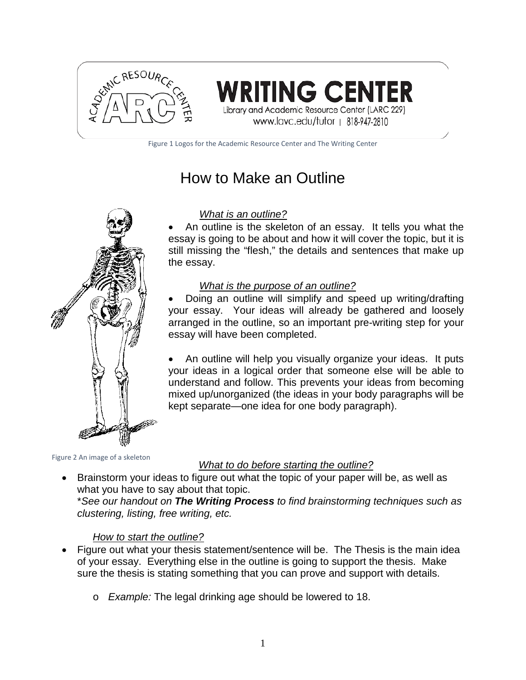

**RITING CENTER** Library and Academic Resource Center (LARC 229)

www.lavc.edu/tutor | 818-947-2810

Figure 1 Logos for the Academic Resource Center and The Writing Center

# How to Make an Outline



#### *What is an outline?*

An outline is the skeleton of an essay. It tells you what the essay is going to be about and how it will cover the topic, but it is still missing the "flesh," the details and sentences that make up the essay.

#### *What is the purpose of an outline?*

• Doing an outline will simplify and speed up writing/drafting your essay. Your ideas will already be gathered and loosely arranged in the outline, so an important pre-writing step for your essay will have been completed.

• An outline will help you visually organize your ideas. It puts your ideas in a logical order that someone else will be able to understand and follow. This prevents your ideas from becoming mixed up/unorganized (the ideas in your body paragraphs will be kept separate—one idea for one body paragraph).

Figure 2 An image of a skeleton

#### *What to do before starting the outline?*

• Brainstorm your ideas to figure out what the topic of your paper will be, as well as what you have to say about that topic.

\**See our handout on The Writing Process to find brainstorming techniques such as clustering, listing, free writing, etc.*

#### *How to start the outline?*

- Figure out what your thesis statement/sentence will be. The Thesis is the main idea of your essay. Everything else in the outline is going to support the thesis. Make sure the thesis is stating something that you can prove and support with details.
	- o *Example:* The legal drinking age should be lowered to 18.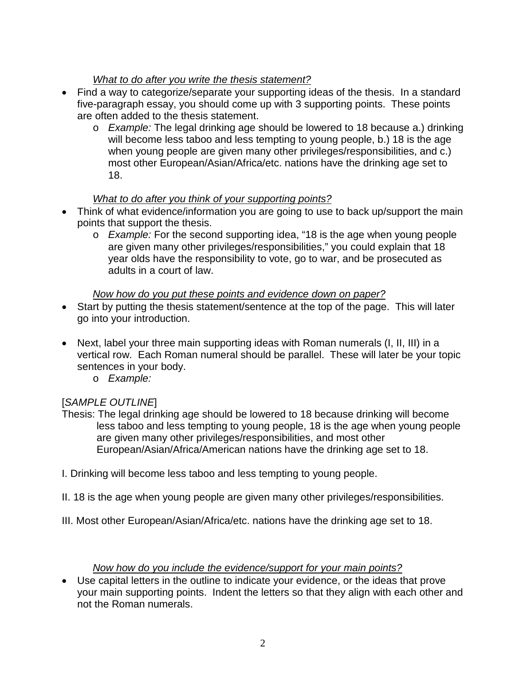## *What to do after you write the thesis statement?*

- Find a way to categorize/separate your supporting ideas of the thesis. In a standard five-paragraph essay, you should come up with 3 supporting points. These points are often added to the thesis statement.
	- o *Example:* The legal drinking age should be lowered to 18 because a.) drinking will become less taboo and less tempting to young people, b.) 18 is the age when young people are given many other privileges/responsibilities, and c.) most other European/Asian/Africa/etc. nations have the drinking age set to 18.

#### *What to do after you think of your supporting points?*

- Think of what evidence/information you are going to use to back up/support the main points that support the thesis.
	- o *Example:* For the second supporting idea, "18 is the age when young people are given many other privileges/responsibilities," you could explain that 18 year olds have the responsibility to vote, go to war, and be prosecuted as adults in a court of law.

#### *Now how do you put these points and evidence down on paper?*

- Start by putting the thesis statement/sentence at the top of the page. This will later go into your introduction.
- Next, label your three main supporting ideas with Roman numerals (I, II, III) in a vertical row. Each Roman numeral should be parallel. These will later be your topic sentences in your body.
	- o *Example:*

#### [*SAMPLE OUTLINE*]

- Thesis: The legal drinking age should be lowered to 18 because drinking will become less taboo and less tempting to young people, 18 is the age when young people are given many other privileges/responsibilities, and most other European/Asian/Africa/American nations have the drinking age set to 18.
- I. Drinking will become less taboo and less tempting to young people.
- II. 18 is the age when young people are given many other privileges/responsibilities.
- III. Most other European/Asian/Africa/etc. nations have the drinking age set to 18.

#### *Now how do you include the evidence/support for your main points?*

• Use capital letters in the outline to indicate your evidence, or the ideas that prove your main supporting points. Indent the letters so that they align with each other and not the Roman numerals.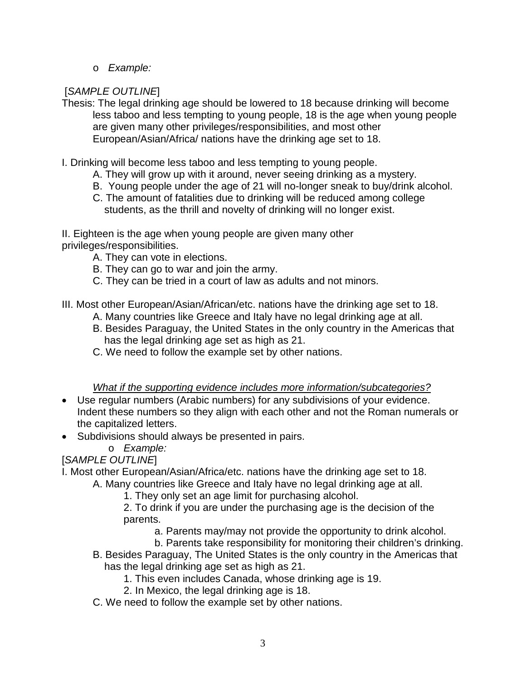o *Example:*

# [*SAMPLE OUTLINE*]

- Thesis: The legal drinking age should be lowered to 18 because drinking will become less taboo and less tempting to young people, 18 is the age when young people are given many other privileges/responsibilities, and most other European/Asian/Africa/ nations have the drinking age set to 18.
- I. Drinking will become less taboo and less tempting to young people.
	- A. They will grow up with it around, never seeing drinking as a mystery.
	- B. Young people under the age of 21 will no-longer sneak to buy/drink alcohol.
	- C. The amount of fatalities due to drinking will be reduced among college students, as the thrill and novelty of drinking will no longer exist.

II. Eighteen is the age when young people are given many other privileges/responsibilities.

- A. They can vote in elections.
- B. They can go to war and join the army.
- C. They can be tried in a court of law as adults and not minors.

III. Most other European/Asian/African/etc. nations have the drinking age set to 18.

- A. Many countries like Greece and Italy have no legal drinking age at all.
- B. Besides Paraguay, the United States in the only country in the Americas that has the legal drinking age set as high as 21.
- C. We need to follow the example set by other nations.

#### *What if the supporting evidence includes more information/subcategories?*

- Use regular numbers (Arabic numbers) for any subdivisions of your evidence. Indent these numbers so they align with each other and not the Roman numerals or the capitalized letters.
- Subdivisions should always be presented in pairs.
	- o *Example:*

# [*SAMPLE OUTLINE*]

I. Most other European/Asian/Africa/etc. nations have the drinking age set to 18.

- A. Many countries like Greece and Italy have no legal drinking age at all.
	- 1. They only set an age limit for purchasing alcohol.
	- 2. To drink if you are under the purchasing age is the decision of the parents.
		- a. Parents may/may not provide the opportunity to drink alcohol.
		- b. Parents take responsibility for monitoring their children's drinking.
- B. Besides Paraguay, The United States is the only country in the Americas that has the legal drinking age set as high as 21.
	- 1. This even includes Canada, whose drinking age is 19.
	- 2. In Mexico, the legal drinking age is 18.
- C. We need to follow the example set by other nations.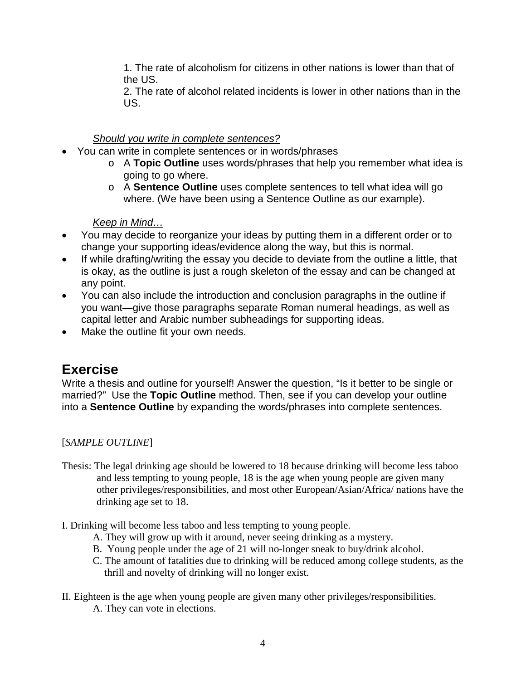1. The rate of alcoholism for citizens in other nations is lower than that of the US.

2. The rate of alcohol related incidents is lower in other nations than in the US.

## *Should you write in complete sentences?*

- You can write in complete sentences or in words/phrases
	- o A **Topic Outline** uses words/phrases that help you remember what idea is going to go where.
	- o A **Sentence Outline** uses complete sentences to tell what idea will go where. (We have been using a Sentence Outline as our example).

#### *Keep in Mind…*

- You may decide to reorganize your ideas by putting them in a different order or to change your supporting ideas/evidence along the way, but this is normal.
- If while drafting/writing the essay you decide to deviate from the outline a little, that is okay, as the outline is just a rough skeleton of the essay and can be changed at any point.
- You can also include the introduction and conclusion paragraphs in the outline if you want—give those paragraphs separate Roman numeral headings, as well as capital letter and Arabic number subheadings for supporting ideas.
- Make the outline fit your own needs.

# **Exercise**

Write a thesis and outline for yourself! Answer the question, "Is it better to be single or married?" Use the **Topic Outline** method. Then, see if you can develop your outline into a **Sentence Outline** by expanding the words/phrases into complete sentences.

#### [*SAMPLE OUTLINE*]

- Thesis: The legal drinking age should be lowered to 18 because drinking will become less taboo and less tempting to young people, 18 is the age when young people are given many other privileges/responsibilities, and most other European/Asian/Africa/ nations have the drinking age set to 18.
- I. Drinking will become less taboo and less tempting to young people.
	- A. They will grow up with it around, never seeing drinking as a mystery.
	- B. Young people under the age of 21 will no-longer sneak to buy/drink alcohol.
	- C. The amount of fatalities due to drinking will be reduced among college students, as the thrill and novelty of drinking will no longer exist.
- II. Eighteen is the age when young people are given many other privileges/responsibilities. A. They can vote in elections.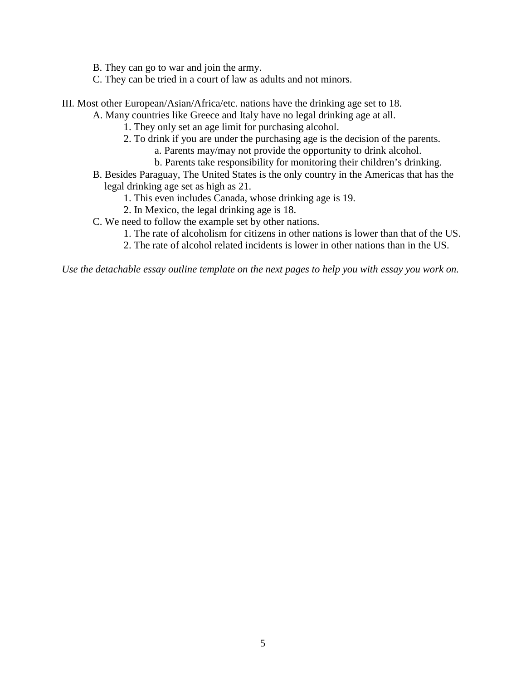B. They can go to war and join the army.

C. They can be tried in a court of law as adults and not minors.

III. Most other European/Asian/Africa/etc. nations have the drinking age set to 18.

A. Many countries like Greece and Italy have no legal drinking age at all.

- 1. They only set an age limit for purchasing alcohol.
- 2. To drink if you are under the purchasing age is the decision of the parents.
	- a. Parents may/may not provide the opportunity to drink alcohol.
		- b. Parents take responsibility for monitoring their children's drinking.
- B. Besides Paraguay, The United States is the only country in the Americas that has the legal drinking age set as high as 21.
	- 1. This even includes Canada, whose drinking age is 19.
	- 2. In Mexico, the legal drinking age is 18.
- C. We need to follow the example set by other nations.
	- 1. The rate of alcoholism for citizens in other nations is lower than that of the US.
	- 2. The rate of alcohol related incidents is lower in other nations than in the US.

*Use the detachable essay outline template on the next pages to help you with essay you work on.*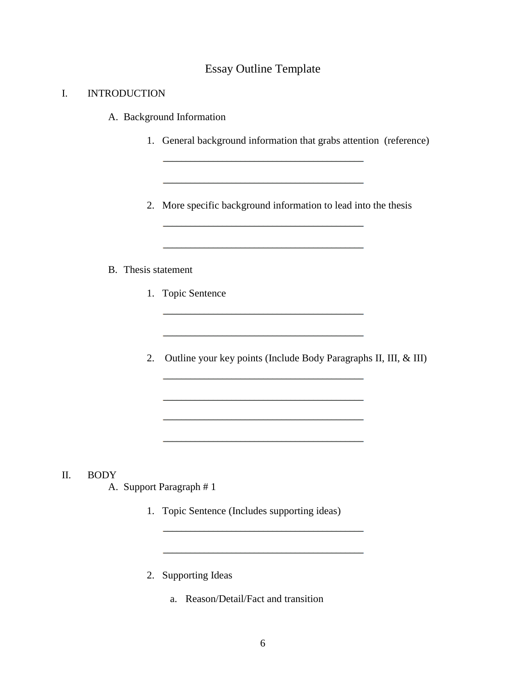#### Essay Outline Template

#### I. INTRODUCTION

- A. Background Information
	- 1. General background information that grabs attention (reference)
	- 2. More specific background information to lead into the thesis

<u> 1989 - Johann John Harry, mars eta industrial eta industrial eta industrial eta industrial eta industrial eta</u>

#### B. Thesis statement

- 1. Topic Sentence
- 2. Outline your key points (Include Body Paragraphs II, III, & III)

the contract of the contract of the contract of the contract of the contract of

- II. BODY
	- A. Support Paragraph # 1
		- 1. Topic Sentence (Includes supporting ideas)
		- 2. Supporting Ideas
			- a. Reason/Detail/Fact and transition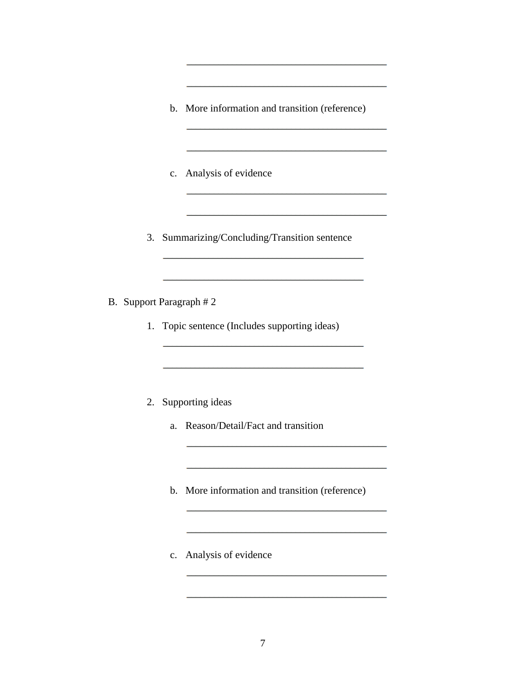b. More information and transition (reference)

- c. Analysis of evidence
- 3. Summarizing/Concluding/Transition sentence
- B. Support Paragraph # 2
	- 1. Topic sentence (Includes supporting ideas)
	- 2. Supporting ideas
		- a. Reason/Detail/Fact and transition
		- b. More information and transition (reference)
		- c. Analysis of evidence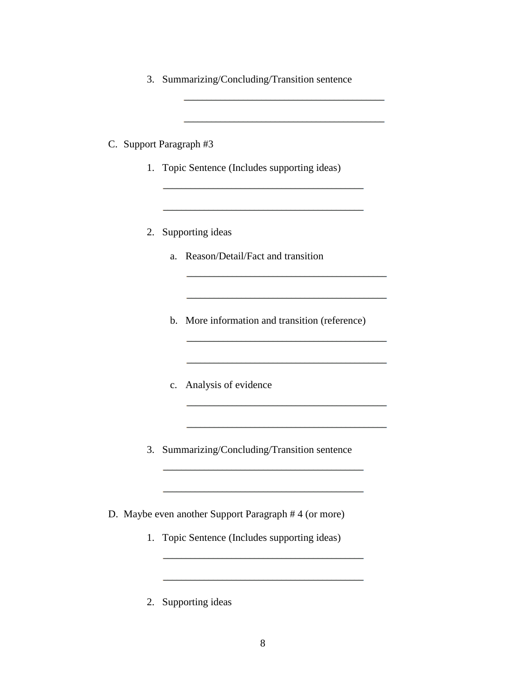3. Summarizing/Concluding/Transition sentence

C. Support Paragraph #3

- 1. Topic Sentence (Includes supporting ideas)
- 2. Supporting ideas
	- a. Reason/Detail/Fact and transition
	- b. More information and transition (reference)

and the control of the control of the control of the control of the control of the control of

- c. Analysis of evidence
- 3. Summarizing/Concluding/Transition sentence

D. Maybe even another Support Paragraph # 4 (or more)

- 1. Topic Sentence (Includes supporting ideas)
- 2. Supporting ideas